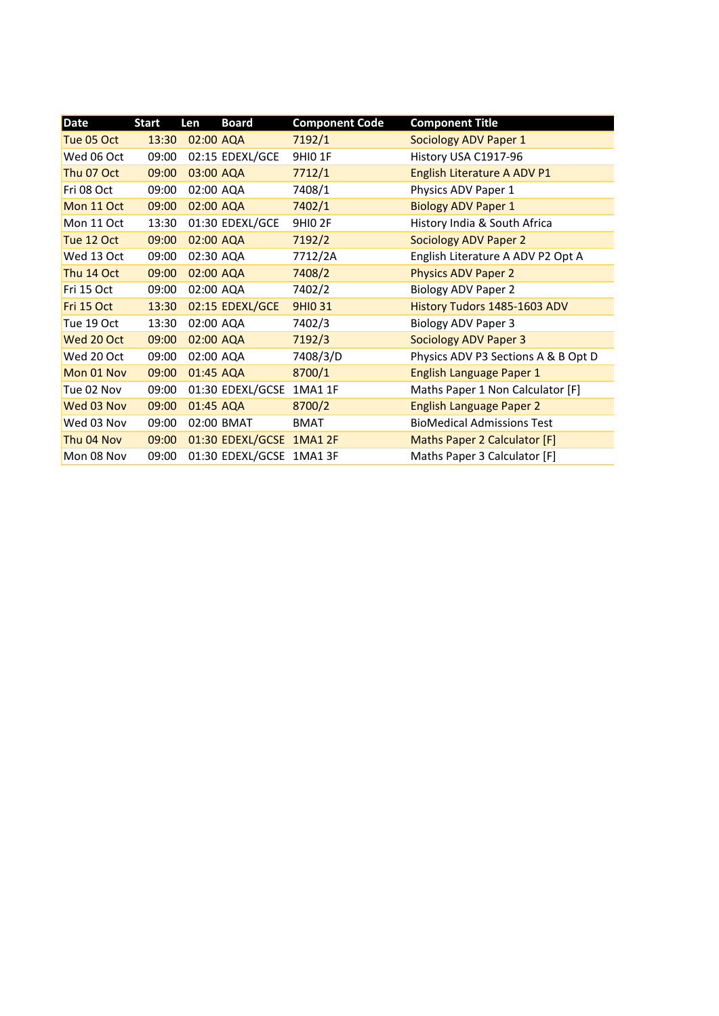| <b>Date</b> | <b>Start</b> | Len       | <b>Board</b>             | <b>Component Code</b> | <b>Component Title</b>              |
|-------------|--------------|-----------|--------------------------|-----------------------|-------------------------------------|
| Tue 05 Oct  | 13:30        | 02:00 AQA |                          | 7192/1                | Sociology ADV Paper 1               |
| Wed 06 Oct  | 09:00        |           | 02:15 EDEXL/GCE          | <b>9HIO 1F</b>        | History USA C1917-96                |
| Thu 07 Oct  | 09:00        | 03:00 AQA |                          | 7712/1                | English Literature A ADV P1         |
| Fri 08 Oct  | 09:00        | 02:00 AQA |                          | 7408/1                | Physics ADV Paper 1                 |
| Mon 11 Oct  | 09:00        | 02:00 AQA |                          | 7402/1                | <b>Biology ADV Paper 1</b>          |
| Mon 11 Oct  | 13:30        |           | 01:30 EDEXL/GCE          | <b>9HIO 2F</b>        | History India & South Africa        |
| Tue 12 Oct  | 09:00        | 02:00 AQA |                          | 7192/2                | <b>Sociology ADV Paper 2</b>        |
| Wed 13 Oct  | 09:00        | 02:30 AQA |                          | 7712/2A               | English Literature A ADV P2 Opt A   |
| Thu 14 Oct  | 09:00        | 02:00 AQA |                          | 7408/2                | <b>Physics ADV Paper 2</b>          |
| Fri 15 Oct  | 09:00        | 02:00 AQA |                          | 7402/2                | <b>Biology ADV Paper 2</b>          |
| Fri 15 Oct  | 13:30        |           | 02:15 EDEXL/GCE          | <b>9HIO 31</b>        | History Tudors 1485-1603 ADV        |
| Tue 19 Oct  | 13:30        | 02:00 AQA |                          | 7402/3                | <b>Biology ADV Paper 3</b>          |
| Wed 20 Oct  | 09:00        | 02:00 AQA |                          | 7192/3                | <b>Sociology ADV Paper 3</b>        |
| Wed 20 Oct  | 09:00        | 02:00 AQA |                          | 7408/3/D              | Physics ADV P3 Sections A & B Opt D |
| Mon 01 Nov  | 09:00        | 01:45 AQA |                          | 8700/1                | English Language Paper 1            |
| Tue 02 Nov  | 09:00        |           | 01:30 EDEXL/GCSE 1MA1 1F |                       | Maths Paper 1 Non Calculator [F]    |
| Wed 03 Nov  | 09:00        | 01:45 AQA |                          | 8700/2                | <b>English Language Paper 2</b>     |
| Wed 03 Nov  | 09:00        |           | 02:00 BMAT               | <b>BMAT</b>           | <b>BioMedical Admissions Test</b>   |
| Thu 04 Nov  | 09:00        |           | 01:30 EDEXL/GCSE 1MA1 2F |                       | Maths Paper 2 Calculator [F]        |
| Mon 08 Nov  | 09:00        |           | 01:30 EDEXL/GCSE 1MA1 3F |                       | Maths Paper 3 Calculator [F]        |